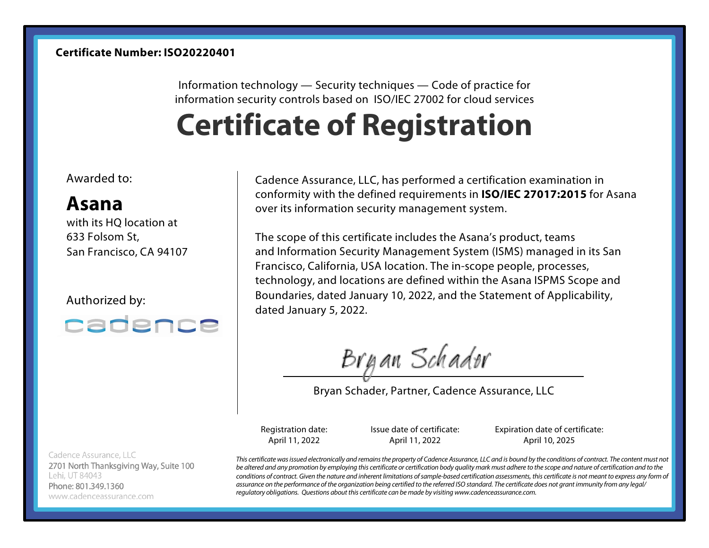Information technology — Security techniques — Code of practice for information security controls based on ISO/IEC 27002 for cloud services

## **Certificate of Registration**

Awarded to:

## **Asana**

with its HQ location at 633 Folsom St, San Francisco, CA 94107

Authorized by:



Cadence Assurance, LLC 2701 North Thanksgiving Way, Suite 100 Lehi, UT 84043 Phone: 801.349.1360 www.cadenceassurance.com

Cadence Assurance, LLC, has performed a certification examination in conformity with the defined requirements in **ISO/IEC 27017:2015** for Asana over its information security management system.

The scope of this certificate includes the Asana's product, teams and Information Security Management System (ISMS) managed in its San Francisco, California, USA location. The in-scope people, processes, technology, and locations are defined within the Asana ISPMS Scope and Boundaries, dated January 10, 2022, and the Statement of Applicability, dated January 5, 2022.

Bryan Schador

Bryan Schader, Partner, Cadence Assurance, LLC

Registration date: April 11, 2022

Issue date of certificate: April 11, 2022

Expiration date of certificate: April 10, 2025

*This certificate was issued electronically and remains the property of Cadence Assurance, LLC and is bound by the conditions of contract. The content must not be altered and any promotion by employing this certificate or certification body quality mark must adhere to the scope and nature of certification and to the*  conditions of contract. Given the nature and inherent limitations of sample-based certification assessments, this certificate is not meant to express any form of *assurance on the performance of the organization being certified to the referred ISO standard. The certificate does not grant immunity from any legal/ regulatory obligations. Questions about this certificate can be made by visiting www.cadenceassurance.com.*